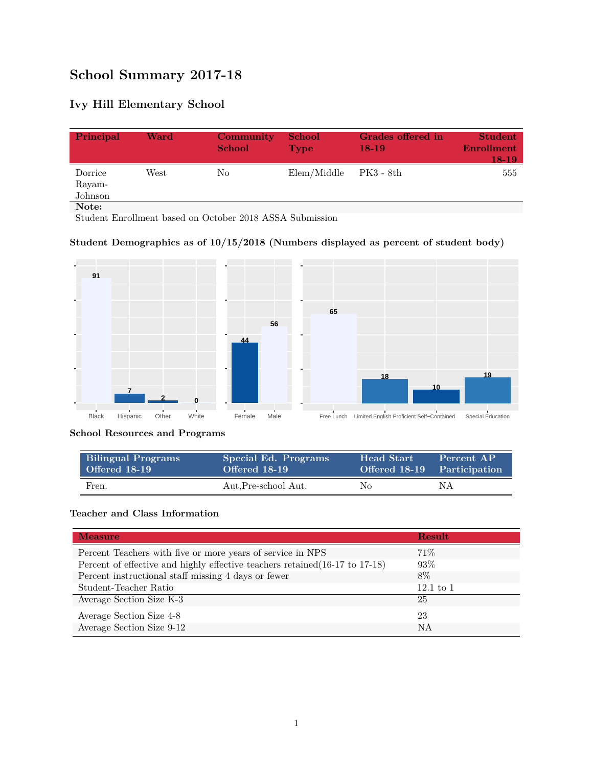# **School Summary 2017-18**

## **Ivy Hill Elementary School**

| Principal                    | Ward | <b>Community</b><br><b>School</b> | <b>School</b><br><b>Type</b> | Grades offered in<br>$18-19$ | <b>Student</b><br><b>Enrollment</b><br>18-19 |
|------------------------------|------|-----------------------------------|------------------------------|------------------------------|----------------------------------------------|
| Dorrice<br>Rayam-<br>Johnson | West | No                                | Elem/Middle                  | PK3 - 8th                    | 555                                          |
| Note:                        |      |                                   |                              |                              |                                              |

Student Enrollment based on October 2018 ASSA Submission

#### **Student Demographics as of 10/15/2018 (Numbers displayed as percent of student body)**



#### **School Resources and Programs**

| <b>Bilingual Programs</b> | Special Ed. Programs | Head Start | Percent AP                  |
|---------------------------|----------------------|------------|-----------------------------|
| Offered 18-19             | Offered 18-19        |            | Offered 18-19 Participation |
| Fren.                     | Aut.Pre-school Aut.  | No         | NΑ                          |

#### **Teacher and Class Information**

| <b>Measure</b>                                                               | <b>Result</b> |
|------------------------------------------------------------------------------|---------------|
| Percent Teachers with five or more years of service in NPS                   | $71\%$        |
| Percent of effective and highly effective teachers retained (16-17 to 17-18) | 93%           |
| Percent instructional staff missing 4 days or fewer                          | 8\%           |
| Student-Teacher Ratio                                                        | $12.1$ to $1$ |
| Average Section Size K-3                                                     | 25            |
| Average Section Size 4-8                                                     | 23            |
| Average Section Size 9-12                                                    | NA            |